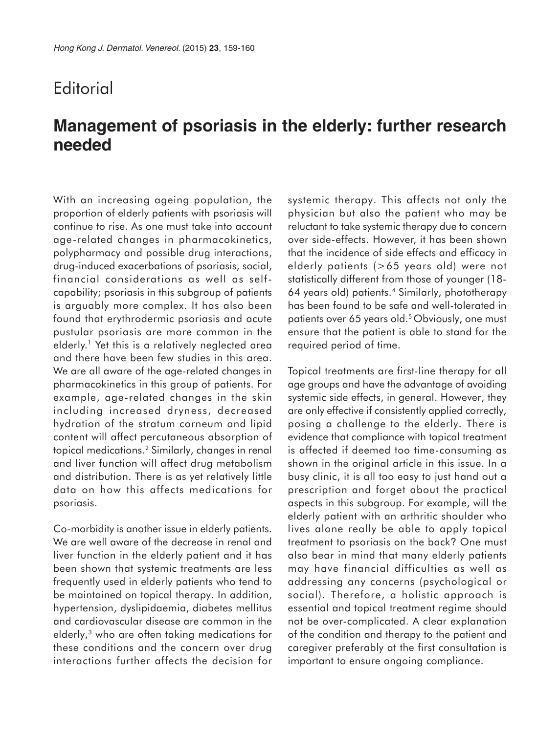## **Editorial**

## **Management of psoriasis in the elderly: further research needed**

With an increasing ageing population, the proportion of elderly patients with psoriasis will continue to rise. As one must take into account age-related changes in pharmacokinetics, polypharmacy and possible drug interactions, drug-induced exacerbations of psoriasis, social, financial considerations as well as selfcapability; psoriasis in this subgroup of patients is arguably more complex. It has also been found that erythrodermic psoriasis and acute pustular psoriasis are more common in the elderly.<sup>1</sup> Yet this is a relatively neglected area and there have been few studies in this area. We are all aware of the age-related changes in pharmacokinetics in this group of patients. For example, age-related changes in the skin including increased dryness, decreased hydration of the stratum corneum and lipid content will affect percutaneous absorption of topical medications.2 Similarly, changes in renal and liver function will affect drug metabolism and distribution. There is as yet relatively little data on how this affects medications for psoriasis.

Co-morbidity is another issue in elderly patients. We are well aware of the decrease in renal and liver function in the elderly patient and it has been shown that systemic treatments are less frequently used in elderly patients who tend to be maintained on topical therapy. In addition, hypertension, dyslipidaemia, diabetes mellitus and cardiovascular disease are common in the elderly,3 who are often taking medications for these conditions and the concern over drug interactions further affects the decision for systemic therapy. This affects not only the physician but also the patient who may be reluctant to take systemic therapy due to concern over side-effects. However, it has been shown that the incidence of side effects and efficacy in elderly patients (>65 years old) were not statistically different from those of younger (18- 64 years old) patients.4 Similarly, phototherapy has been found to be safe and well-tolerated in patients over 65 years old.<sup>5</sup> Obviously, one must ensure that the patient is able to stand for the required period of time.

Topical treatments are first-line therapy for all age groups and have the advantage of avoiding systemic side effects, in general. However, they are only effective if consistently applied correctly, posing a challenge to the elderly. There is evidence that compliance with topical treatment is affected if deemed too time-consuming as shown in the original article in this issue. In a busy clinic, it is all too easy to just hand out a prescription and forget about the practical aspects in this subgroup. For example, will the elderly patient with an arthritic shoulder who lives alone really be able to apply topical treatment to psoriasis on the back? One must also bear in mind that many elderly patients may have financial difficulties as well as addressing any concerns (psychological or social). Therefore, a holistic approach is essential and topical treatment regime should not be over-complicated. A clear explanation of the condition and therapy to the patient and caregiver preferably at the first consultation is important to ensure ongoing compliance.